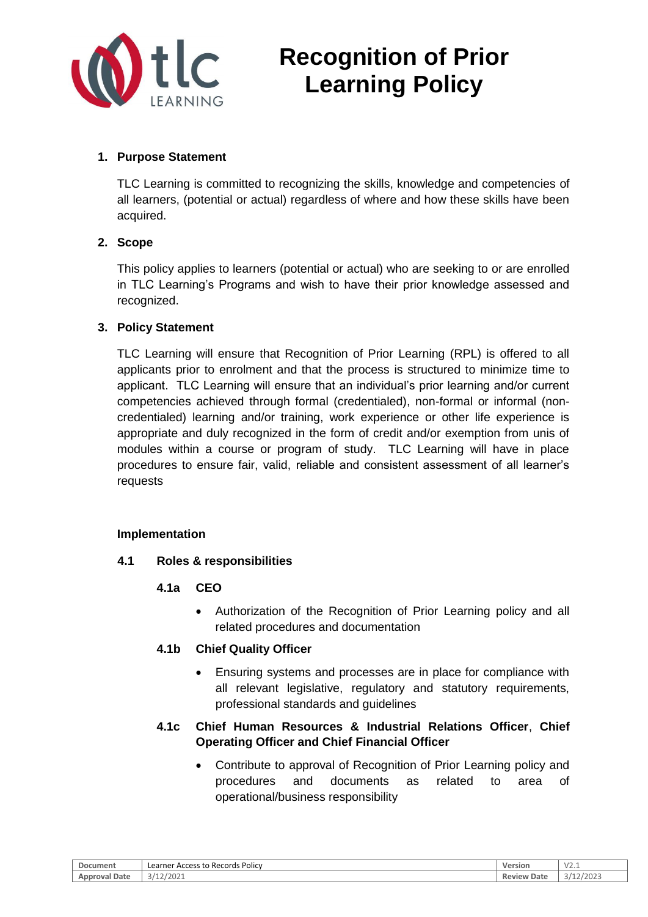

# **Recognition of Prior Learning Policy**

## **1. Purpose Statement**

TLC Learning is committed to recognizing the skills, knowledge and competencies of all learners, (potential or actual) regardless of where and how these skills have been acquired.

## **2. Scope**

This policy applies to learners (potential or actual) who are seeking to or are enrolled in TLC Learning's Programs and wish to have their prior knowledge assessed and recognized.

## **3. Policy Statement**

TLC Learning will ensure that Recognition of Prior Learning (RPL) is offered to all applicants prior to enrolment and that the process is structured to minimize time to applicant. TLC Learning will ensure that an individual's prior learning and/or current competencies achieved through formal (credentialed), non-formal or informal (noncredentialed) learning and/or training, work experience or other life experience is appropriate and duly recognized in the form of credit and/or exemption from unis of modules within a course or program of study. TLC Learning will have in place procedures to ensure fair, valid, reliable and consistent assessment of all learner's requests

## **Implementation**

## **4.1 Roles & responsibilities**

- **4.1a CEO**
	- Authorization of the Recognition of Prior Learning policy and all related procedures and documentation

## **4.1b Chief Quality Officer**

• Ensuring systems and processes are in place for compliance with all relevant legislative, regulatory and statutory requirements, professional standards and guidelines

## **4.1c Chief Human Resources & Industrial Relations Officer**, **Chief Operating Officer and Chief Financial Officer**

• Contribute to approval of Recognition of Prior Learning policy and procedures and documents as related to area of operational/business responsibility

| Document                     | Access to Records Policy<br>Learner | Version        | V∠‥⊥                            |
|------------------------------|-------------------------------------|----------------|---------------------------------|
| ' Date<br>nrova <sub>r</sub> | /202<br>$\sim$ $\sim$ $\sim$        | Review<br>Date | /2023<br>$\sim$ $14\sim$<br>- - |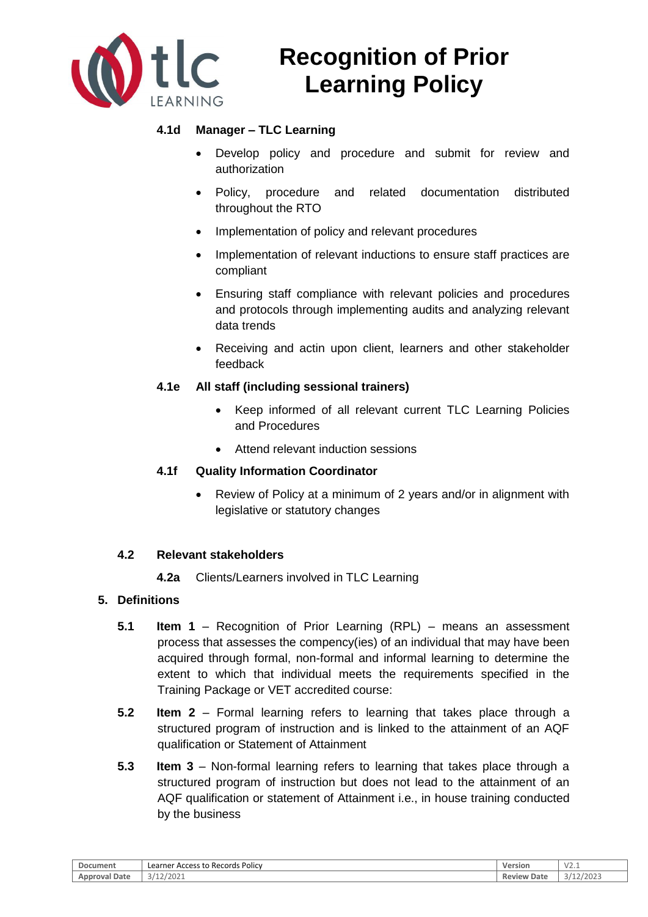

# **Recognition of Prior Learning Policy**

## **4.1d Manager – TLC Learning**

- Develop policy and procedure and submit for review and authorization
- Policy, procedure and related documentation distributed throughout the RTO
- Implementation of policy and relevant procedures
- Implementation of relevant inductions to ensure staff practices are compliant
- Ensuring staff compliance with relevant policies and procedures and protocols through implementing audits and analyzing relevant data trends
- Receiving and actin upon client, learners and other stakeholder feedback

## **4.1e All staff (including sessional trainers)**

- Keep informed of all relevant current TLC Learning Policies and Procedures
- Attend relevant induction sessions

## **4.1f Quality Information Coordinator**

• Review of Policy at a minimum of 2 years and/or in alignment with legislative or statutory changes

## **4.2 Relevant stakeholders**

**4.2a** Clients/Learners involved in TLC Learning

## **5. Definitions**

- **5.1 Item 1** Recognition of Prior Learning (RPL) means an assessment process that assesses the compency(ies) of an individual that may have been acquired through formal, non-formal and informal learning to determine the extent to which that individual meets the requirements specified in the Training Package or VET accredited course:
- **5.2 Item 2**  Formal learning refers to learning that takes place through a structured program of instruction and is linked to the attainment of an AQF qualification or Statement of Attainment
- **5.3 Item 3**  Non-formal learning refers to learning that takes place through a structured program of instruction but does not lead to the attainment of an AQF qualification or statement of Attainment i.e., in house training conducted by the business

| Document                | <sup>.</sup> Access to Records Policy<br>∟earner | Versior        | $\mathcal{L}$<br>∨∠.⊥ |
|-------------------------|--------------------------------------------------|----------------|-----------------------|
| Date<br>Approvai .<br>┒ | '202.<br>$\sim$ $\mu$ $\sim$                     | Review<br>Date | 1002<br>ZUZJ<br>J.    |
|                         |                                                  |                |                       |